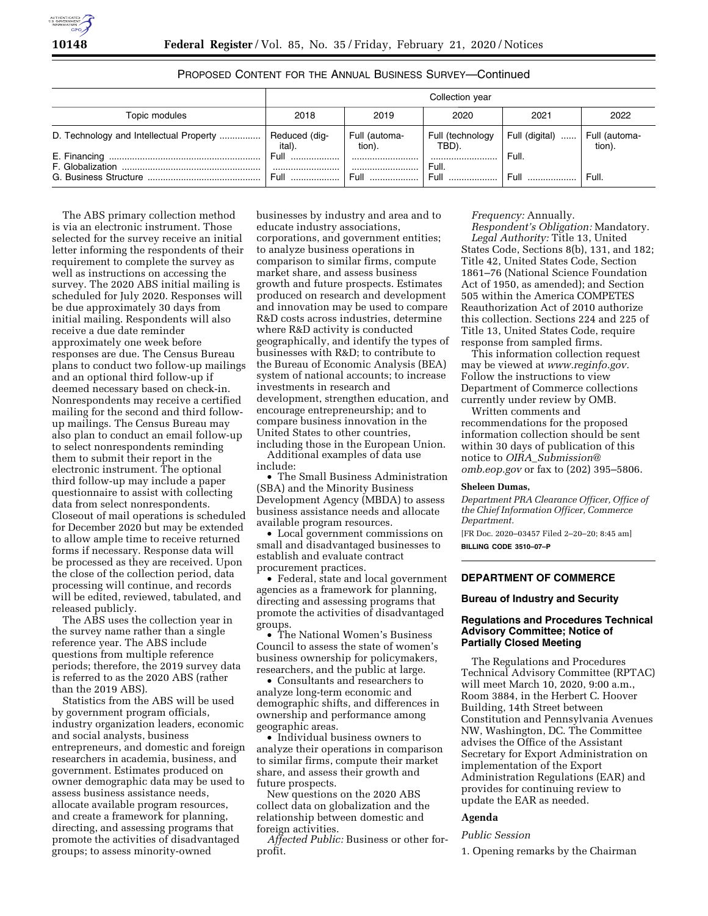# PROPOSED CONTENT FOR THE ANNUAL BUSINESS SURVEY—Continued

|                                         | Collection year         |                         |                           |                |                         |
|-----------------------------------------|-------------------------|-------------------------|---------------------------|----------------|-------------------------|
| Topic modules                           | 2018                    | 2019                    | 2020                      | 2021           | 2022                    |
| D. Technology and Intellectual Property | Reduced (dig-<br>ital). | Full (automa-<br>tion). | Full (technology<br>TBD). | Full (digital) | Full (automa-<br>tion). |
| F. Globalization                        | Full                    |                         | Full.                     | Full.          |                         |
| G. Business Structure                   | Full                    | <b>Full</b>             | Full                      | Full           | Full.                   |

The ABS primary collection method is via an electronic instrument. Those selected for the survey receive an initial letter informing the respondents of their requirement to complete the survey as well as instructions on accessing the survey. The 2020 ABS initial mailing is scheduled for July 2020. Responses will be due approximately 30 days from initial mailing. Respondents will also receive a due date reminder approximately one week before responses are due. The Census Bureau plans to conduct two follow-up mailings and an optional third follow-up if deemed necessary based on check-in. Nonrespondents may receive a certified mailing for the second and third followup mailings. The Census Bureau may also plan to conduct an email follow-up to select nonrespondents reminding them to submit their report in the electronic instrument. The optional third follow-up may include a paper questionnaire to assist with collecting data from select nonrespondents. Closeout of mail operations is scheduled for December 2020 but may be extended to allow ample time to receive returned forms if necessary. Response data will be processed as they are received. Upon the close of the collection period, data processing will continue, and records will be edited, reviewed, tabulated, and released publicly.

The ABS uses the collection year in the survey name rather than a single reference year. The ABS include questions from multiple reference periods; therefore, the 2019 survey data is referred to as the 2020 ABS (rather than the 2019 ABS).

Statistics from the ABS will be used by government program officials, industry organization leaders, economic and social analysts, business entrepreneurs, and domestic and foreign researchers in academia, business, and government. Estimates produced on owner demographic data may be used to assess business assistance needs, allocate available program resources, and create a framework for planning, directing, and assessing programs that promote the activities of disadvantaged groups; to assess minority-owned

businesses by industry and area and to educate industry associations, corporations, and government entities; to analyze business operations in comparison to similar firms, compute market share, and assess business growth and future prospects. Estimates produced on research and development and innovation may be used to compare R&D costs across industries, determine where R&D activity is conducted geographically, and identify the types of businesses with R&D; to contribute to the Bureau of Economic Analysis (BEA) system of national accounts; to increase investments in research and development, strengthen education, and encourage entrepreneurship; and to compare business innovation in the United States to other countries, including those in the European Union.

Additional examples of data use include:

• The Small Business Administration (SBA) and the Minority Business Development Agency (MBDA) to assess business assistance needs and allocate available program resources.

• Local government commissions on small and disadvantaged businesses to establish and evaluate contract procurement practices.

• Federal, state and local government agencies as a framework for planning, directing and assessing programs that promote the activities of disadvantaged groups.

• The National Women's Business Council to assess the state of women's business ownership for policymakers, researchers, and the public at large.

• Consultants and researchers to analyze long-term economic and demographic shifts, and differences in ownership and performance among geographic areas.

• Individual business owners to analyze their operations in comparison to similar firms, compute their market share, and assess their growth and future prospects.

New questions on the 2020 ABS collect data on globalization and the relationship between domestic and foreign activities.

*Affected Public:* Business or other forprofit.

### *Frequency:* Annually.

*Respondent's Obligation:* Mandatory. *Legal Authority:* Title 13, United States Code, Sections 8(b), 131, and 182; Title 42, United States Code, Section 1861–76 (National Science Foundation Act of 1950, as amended); and Section 505 within the America COMPETES Reauthorization Act of 2010 authorize this collection. Sections 224 and 225 of Title 13, United States Code, require response from sampled firms.

This information collection request may be viewed at *www.reginfo.gov.*  Follow the instructions to view Department of Commerce collections currently under review by OMB. Written comments and

recommendations for the proposed information collection should be sent within 30 days of publication of this notice to *OIRA*\_*Submission@ omb.eop.gov* or fax to (202) 395–5806.

#### **Sheleen Dumas,**

*Department PRA Clearance Officer, Office of the Chief Information Officer, Commerce Department.* 

[FR Doc. 2020–03457 Filed 2–20–20; 8:45 am] **BILLING CODE 3510–07–P** 

**DEPARTMENT OF COMMERCE** 

### **Bureau of Industry and Security**

### **Regulations and Procedures Technical Advisory Committee; Notice of Partially Closed Meeting**

The Regulations and Procedures Technical Advisory Committee (RPTAC) will meet March 10, 2020, 9:00 a.m., Room 3884, in the Herbert C. Hoover Building, 14th Street between Constitution and Pennsylvania Avenues NW, Washington, DC. The Committee advises the Office of the Assistant Secretary for Export Administration on implementation of the Export Administration Regulations (EAR) and provides for continuing review to update the EAR as needed.

# **Agenda**

### *Public Session*

1. Opening remarks by the Chairman